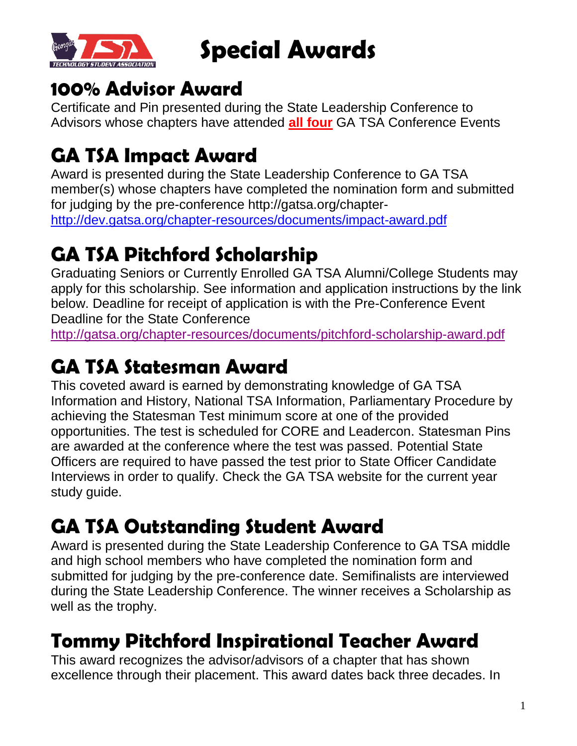

**Special Awards**

#### **100% Advisor Award**

Certificate and Pin presented during the State Leadership Conference to Advisors whose chapters have attended **all four** GA TSA Conference Events

## **GA TSA Impact Award**

Award is presented during the State Leadership Conference to GA TSA member(s) whose chapters have completed the nomination form and submitted for judging by the pre-conference http://gatsa.org/chapter[http://dev.gatsa.org/chapter-resources/documents/impact-award.pdf](https://www.gatsa.org/chapter-resources/documents/impact-award.pdf)

## **GA TSA Pitchford Scholarship**

Graduating Seniors or Currently Enrolled GA TSA Alumni/College Students may apply for this scholarship. See information and application instructions by the link below. Deadline for receipt of application is with the Pre-Conference Event Deadline for the State Conference

<http://gatsa.org/chapter-resources/documents/pitchford-scholarship-award.pdf>

# **GA TSA Statesman Award**

This coveted award is earned by demonstrating knowledge of GA TSA Information and History, National TSA Information, Parliamentary Procedure by achieving the Statesman Test minimum score at one of the provided opportunities. The test is scheduled for CORE and Leadercon. Statesman Pins are awarded at the conference where the test was passed. Potential State Officers are required to have passed the test prior to State Officer Candidate Interviews in order to qualify. Check the GA TSA website for the current year study guide.

#### **GA TSA Outstanding Student Award**

Award is presented during the State Leadership Conference to GA TSA middle and high school members who have completed the nomination form and submitted for judging by the pre-conference date. Semifinalists are interviewed during the State Leadership Conference. The winner receives a Scholarship as well as the trophy.

## **Tommy Pitchford Inspirational Teacher Award**

This award recognizes the advisor/advisors of a chapter that has shown excellence through their placement. This award dates back three decades. In